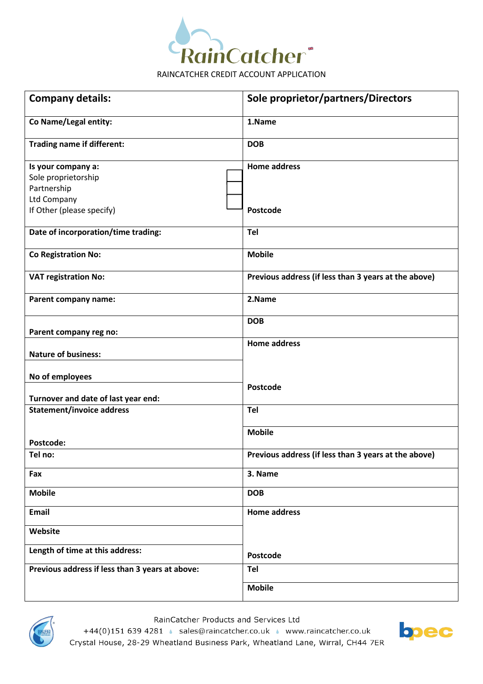

| <b>Company details:</b>                                                                                     | Sole proprietor/partners/Directors                   |
|-------------------------------------------------------------------------------------------------------------|------------------------------------------------------|
| Co Name/Legal entity:                                                                                       | 1.Name                                               |
| <b>Trading name if different:</b>                                                                           | <b>DOB</b>                                           |
| Is your company a:<br>Sole proprietorship<br>Partnership<br><b>Ltd Company</b><br>If Other (please specify) | <b>Home address</b><br>Postcode                      |
| Date of incorporation/time trading:                                                                         | Tel                                                  |
| <b>Co Registration No:</b>                                                                                  | <b>Mobile</b>                                        |
| <b>VAT registration No:</b>                                                                                 | Previous address (if less than 3 years at the above) |
| Parent company name:                                                                                        | 2.Name                                               |
| Parent company reg no:                                                                                      | <b>DOB</b>                                           |
| <b>Nature of business:</b>                                                                                  | <b>Home address</b>                                  |
| No of employees<br>Turnover and date of last year end:                                                      | Postcode                                             |
| <b>Statement/invoice address</b>                                                                            | Tel                                                  |
| Postcode:                                                                                                   | <b>Mobile</b>                                        |
| Tel no:                                                                                                     | Previous address (if less than 3 years at the above) |
| Fax                                                                                                         | 3. Name                                              |
| <b>Mobile</b>                                                                                               | <b>DOB</b>                                           |
| <b>Email</b>                                                                                                | <b>Home address</b>                                  |
| Website                                                                                                     |                                                      |
| Length of time at this address:                                                                             | Postcode                                             |
| Previous address if less than 3 years at above:                                                             | Tel                                                  |
|                                                                                                             | <b>Mobile</b>                                        |



RainCatcher Products and Services Ltd

+44(0)151 639 4281 | sales@raincatcher.co.uk | www.raincatcher.co.uk Crystal House, 28-29 Wheatland Business Park, Wheatland Lane, Wirral, CH44 7ER

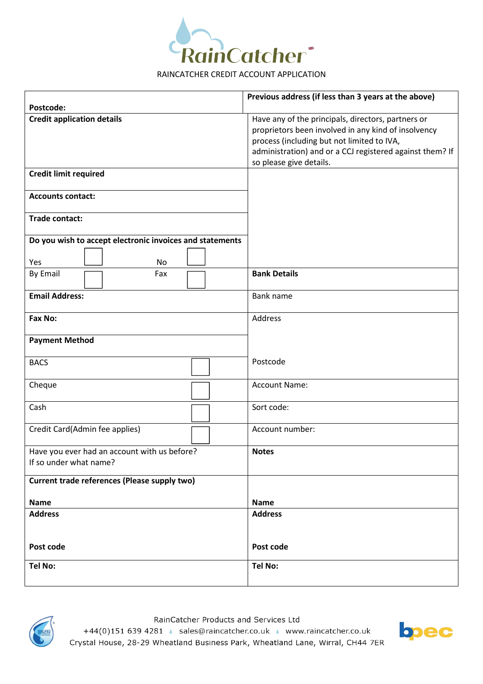

|                                                                        | Previous address (if less than 3 years at the above)                                                                                                                                                                                           |
|------------------------------------------------------------------------|------------------------------------------------------------------------------------------------------------------------------------------------------------------------------------------------------------------------------------------------|
| Postcode:                                                              |                                                                                                                                                                                                                                                |
| <b>Credit application details</b>                                      | Have any of the principals, directors, partners or<br>proprietors been involved in any kind of insolvency<br>process (including but not limited to IVA,<br>administration) and or a CCJ registered against them? If<br>so please give details. |
| <b>Credit limit required</b>                                           |                                                                                                                                                                                                                                                |
| <b>Accounts contact:</b>                                               |                                                                                                                                                                                                                                                |
| <b>Trade contact:</b>                                                  |                                                                                                                                                                                                                                                |
| Do you wish to accept electronic invoices and statements               |                                                                                                                                                                                                                                                |
| <b>No</b>                                                              |                                                                                                                                                                                                                                                |
| Yes<br><b>By Email</b><br>Fax                                          | <b>Bank Details</b>                                                                                                                                                                                                                            |
|                                                                        |                                                                                                                                                                                                                                                |
| <b>Email Address:</b>                                                  | Bank name                                                                                                                                                                                                                                      |
| Fax No:                                                                | Address                                                                                                                                                                                                                                        |
| <b>Payment Method</b>                                                  |                                                                                                                                                                                                                                                |
| <b>BACS</b>                                                            | Postcode                                                                                                                                                                                                                                       |
| Cheque                                                                 | <b>Account Name:</b>                                                                                                                                                                                                                           |
| Cash                                                                   | Sort code:                                                                                                                                                                                                                                     |
| Credit Card(Admin fee applies)                                         | Account number:                                                                                                                                                                                                                                |
| Have you ever had an account with us before?<br>If so under what name? | <b>Notes</b>                                                                                                                                                                                                                                   |
| Current trade references (Please supply two)                           |                                                                                                                                                                                                                                                |
| <b>Name</b>                                                            | <b>Name</b>                                                                                                                                                                                                                                    |
| <b>Address</b>                                                         | <b>Address</b>                                                                                                                                                                                                                                 |
| Post code                                                              | Post code                                                                                                                                                                                                                                      |
| Tel No:                                                                | <b>Tel No:</b>                                                                                                                                                                                                                                 |



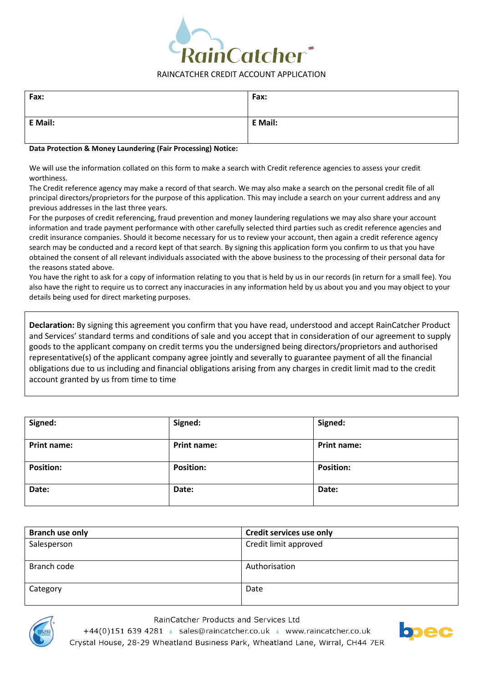

| Fax:    | Fax:    |
|---------|---------|
| E Mail: | E Mail: |

### **Data Protection & Money Laundering (Fair Processing) Notice:**

We will use the information collated on this form to make a search with Credit reference agencies to assess your credit worthiness.

The Credit reference agency may make a record of that search. We may also make a search on the personal credit file of all principal directors/proprietors for the purpose of this application. This may include a search on your current address and any previous addresses in the last three years.

For the purposes of credit referencing, fraud prevention and money laundering regulations we may also share your account information and trade payment performance with other carefully selected third parties such as credit reference agencies and credit insurance companies. Should it become necessary for us to review your account, then again a credit reference agency search may be conducted and a record kept of that search. By signing this application form you confirm to us that you have obtained the consent of all relevant individuals associated with the above business to the processing of their personal data for the reasons stated above.

You have the right to ask for a copy of information relating to you that is held by us in our records (in return for a small fee). You also have the right to require us to correct any inaccuracies in any information held by us about you and you may object to your details being used for direct marketing purposes.

**Declaration:** By signing this agreement you confirm that you have read, understood and accept RainCatcher Product and Services' standard terms and conditions of sale and you accept that in consideration of our agreement to supply goods to the applicant company on credit terms you the undersigned being directors/proprietors and authorised representative(s) of the applicant company agree jointly and severally to guarantee payment of all the financial obligations due to us including and financial obligations arising from any charges in credit limit mad to the credit account granted by us from time to time

| Signed:          | Signed:            | Signed:            |
|------------------|--------------------|--------------------|
| Print name:      | <b>Print name:</b> | <b>Print name:</b> |
| <b>Position:</b> | <b>Position:</b>   | <b>Position:</b>   |
| Date:            | Date:              | Date:              |

| Branch use only | <b>Credit services use only</b> |
|-----------------|---------------------------------|
| Salesperson     | Credit limit approved           |
|                 |                                 |
| Branch code     | Authorisation                   |
|                 |                                 |
| Category        | Date                            |
|                 |                                 |



### RainCatcher Products and Services Ltd

+44(0)151 639 4281 · sales@raincatcher.co.uk · www.raincatcher.co.uk Crystal House, 28-29 Wheatland Business Park, Wheatland Lane, Wirral, CH44 7ER

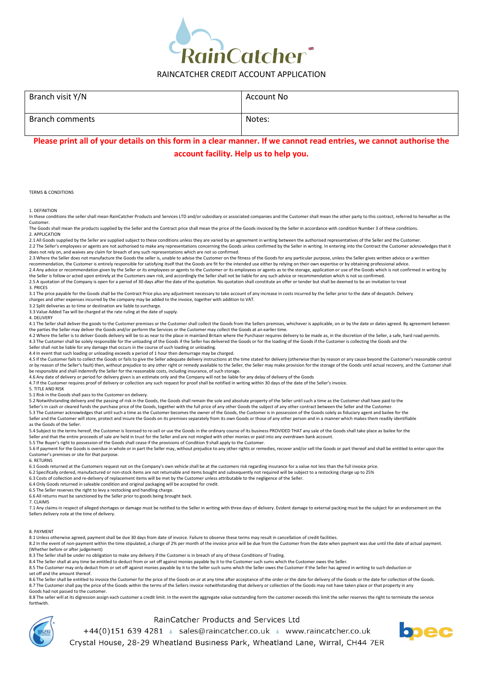

| Branch visit Y/N       | Account No |
|------------------------|------------|
| <b>Branch comments</b> | Notes:     |

# **Please print all of your details on this form in a clear manner. If we cannot read entries, we cannot authorise the account facility. Help us to help you.**

TERMS & CONDITIONS

1. DEFINITION

In these conditions the seller shall mean RainCatcher Products and Services LTD and/or subsidiary or associated companies and the Customer shall mean the other party to this contract, referred to hereafter as the Customer.

The Goods shall mean the products supplied by the Seller and the Contract price shall mean the price of the Goods invoiced by the Seller in accordance with condition Number 3 of these conditions. 2. APPLICATION

2.1 All Goods supplied by the Seller are supplied subject to these conditions unless they are varied by an agreement in writing between the authorised representatives of the Seller and the Customer. 2.2 The Seller's employees or agents are not authorised to make any representations concerning the Goods unless confirmed by the Seller in writing. In entering into the Contract the Customer acknowledges that it

does not rely on, and waives any claim for breach of any such representations which are not so confirmed.<br>2.3 Where the Seller does not manufacture the Goods the seller is, unable to advise the Customer on the fitness of t recommendation, the Customer is entirely responsible for satisfying itself that the Goods are fit for the intended use either by relying on their own expertise or by obtaining professional advice.

2.4 Any advice or recommendation given by the Seller or its employees or agents to the Customer or its employees or agents as to the storage, application or use of the Goods which is not confirmed in writing by the Seller is follow or acted upon entirely at the Customers own risk, and accordingly the Seller shall not be liable for any such advice or recommendation which is not so confirmed.

2.5 A quotation of the Company is open for a period of 30 days after the date of the quotation. No quotation shall constitute an offer or tender but shall be deemed to be an invitation to treat 3. PRICES

3.1 The price payable for the Goods shall be the Contract Price plus any adjustment necessary to take account of any increase in costs incurred by the Seller prior to the date of despatch. Delivery charges and other expenses incurred by the company may be added to the invoice, together with addition to VAT.

3.2 Split deliveries as to time or destination are liable to surcharge. 3.3 Value Added Tax will be charged at the rate ruling at the date of supply.

4. DELIVERY

4.1 The Seller shall deliver the goods to the Customer premises or the Customer shall collect the Goods from the Sellers premises, whichever is applicable, on or by the date or dates agreed. By agreement between

the parties the Seller may deliver the Goods and/or perform the Services or the Customer may collect the Goods at an earlier time.<br>4.2 Where the Seller is to deliver Goods delivery will be to as near to the place in mainla 4.3 The Customer shall be solely responsible for the unloading of the Goods if the Seller has delivered the Goods or for the loading of the Goods if the Customer is collecting the Goods and the

Seller shall not be liable for any damage that occurs in the course of such loading or unloading.

4.4 In event that such loading or unloading exceeds a period of 1 hour then demurrage may be charged.

4.5 If the Customer fails to collect the Goods or fails to give the Seller adequate delivery instructions at the time stated for delivery (otherwise than by reason or any cause beyond the Customer's reasonable control or by reason of the Seller's fault) then, without prejudice to any other right or remedy available to the Seller, the Seller may make provision for the storage of the Goods until actual recovery, and the Customer shall be responsible and shall indemnify the Seller for the reasonable costs, including insurance, of such storage.

4.6 Any date of delivery or period for delivery given is an estimate only and the Company will not be liable for any delay of delivery of the Goods

4.7 If the Customer requires proof of delivery or collection any such request for proof shall be notified in writing within 30 days of the date of the Seller's invoice.

5. TITLE AND RISK

5.1 Risk in the Goods shall pass to the Customer on delivery.

5.2 Notwithstanding delivery and the passing of risk in the Goods, the Goods shall remain the sole and absolute property of the Seller until such a time as the Customer shall have paid to the

Seller's in cash or cleared funds the purchase price of the Goods, together with the full price of any other Goods the subject of any other contract between the Seller and the Customer.<br>5.3 The Customer acknowledges that u

Seller and the Customer will store, protect and insure the Goods on its premises separately from its own Goods or those of any other person and in a manner which makes them readily identifiable as the Goods of the Seller.

5.4 Subject to the terms hereof, the Customer is licensed to re-sell or use the Goods in the ordinary course of its business PROVIDED THAT any sale of the Goods shall take place as bailee for the

Seller and that the entire proceeds of sale are held in trust for the Seller and are not mingled with other monies or paid into any overdrawn bank account.<br>5.5 The Buyer's right to possession of the Goods shall cease if th

5.6 If payment for the Goods is overdue in whole or in part the Seller may, without prejudice to any other rights or remedies, recover and/or sell the Goods or part thereof and shall be entitled to enter upon the Customer's premises or site for that purpose.

6. RETURNS

6.1 Goods returned at the Customers request not on the Company's own vehicle shall be at the customers risk regarding insurance for a value not less than the full invoice price.

6.2 Specifically ordered, manufactured or non-stock items are not returnable and items bought and subsequently not required will be subject to a restocking charge up to 25%

6.3 Costs of collection and re-delivery of replacement items will be met by the Customer unless attributable to the negligence of the Seller.

6.4 Only Goods returned in saleable condition and original packaging will be accepted for credit. 6.5 The Seller reserves the right to levy a restocking and handling charge.

6.6 All returns must be sanctioned by the Seller prior to goods being brought back.

7. CLAIMS

7.1 Any claims in respect of alleged shortages or damage must be notified to the Seller in writing with three days of delivery. Evident damage to external packing must be the subject for an endorsement on the Sellers delivery note at the time of delivery.

8. PAYMENT

8.1 Unless otherwise agreed, payment shall be due 30 days from date of invoice. Failure to observe these terms may result in cancellation of credit facilities.

8.2 In the event of non-payment within the time stipulated, a charge of 2% per month of the invoice price will be due from the Customer from the date when payment was due until the date of actual payment. (Whether before or after judgement)

8.3 The Seller shall be under no obligation to make any delivery if the Customer is in breach of any of these Conditions of Trading.

8.4 The Seller shall at any time be entitled to deduct from or set off against monies payable by it to the Customer such sums which the Customer owes the Seller.<br>8.5 The Customer may only deduct from or set off against mon set off and the amount thereof.

8.6 The Seller shall be entitled to invoice the Customer for the price of the Goods on or at any time after acceptance of the order or the date for delivery of the Goods or the date for collection of the Goods. 8.7 The Customer shall pay the price of the Goods within the terms of the Sellers invoice notwithstanding that delivery or collection of the Goods may not have taken place or that property in any

Goods had not passed to the customer.

8.8 The seller will at its digression assign each customer a credit limit. In the event the aggregate value outstanding form the customer exceeds this limit the seller reserves the right to terminate the service forthwith.



RainCatcher Products and Services Ltd

+44(0)151 639 4281 · sales@raincatcher.co.uk · www.raincatcher.co.uk Crystal House, 28-29 Wheatland Business Park, Wheatland Lane, Wirral, CH44 7ER